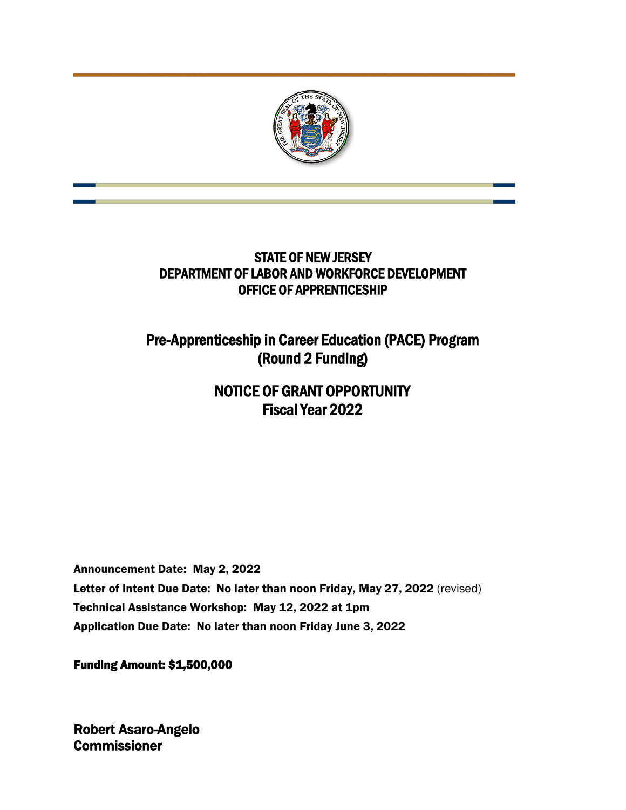

# STATE OF NEW JERSEY DEPARTMENT OF LABOR AND WORKFORCE DEVELOPMENT OFFICE OF APPRENTICESHIP

Pre-Apprenticeship in Career Education (PACE) Program (Round 2 Funding)

# NOTICE OF GRANT OPPORTUNITY Fiscal Year 2022

Announcement Date: May 2, 2022 Letter of Intent Due Date: No later than noon Friday, May 27, 2022 (revised) Technical Assistance Workshop: May 12, 2022 at 1pm Application Due Date: No later than noon Friday June 3, 2022

Funding Amount: \$1,500,000

Robert Asaro-Angelo **Commissioner**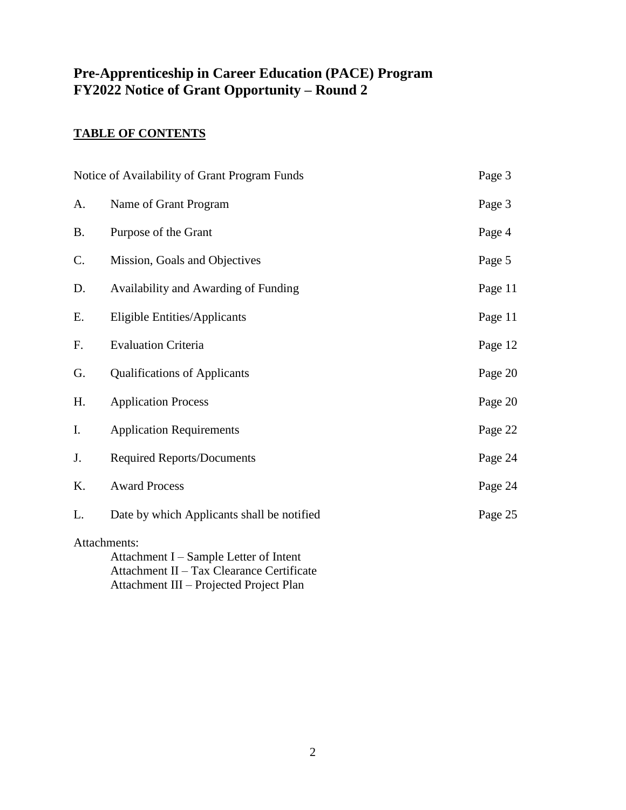# **Pre-Apprenticeship in Career Education (PACE) Program FY2022 Notice of Grant Opportunity – Round 2**

# **TABLE OF CONTENTS**

| Notice of Availability of Grant Program Funds                                                       |                                            | Page 3  |  |
|-----------------------------------------------------------------------------------------------------|--------------------------------------------|---------|--|
| A.                                                                                                  | Name of Grant Program                      | Page 3  |  |
| <b>B.</b>                                                                                           | Purpose of the Grant                       | Page 4  |  |
| C.                                                                                                  | Mission, Goals and Objectives              | Page 5  |  |
| D.                                                                                                  | Availability and Awarding of Funding       | Page 11 |  |
| Ε.                                                                                                  | <b>Eligible Entities/Applicants</b>        | Page 11 |  |
| F.                                                                                                  | <b>Evaluation Criteria</b>                 | Page 12 |  |
| G.                                                                                                  | <b>Qualifications of Applicants</b>        | Page 20 |  |
| Η.                                                                                                  | <b>Application Process</b>                 | Page 20 |  |
| I.                                                                                                  | <b>Application Requirements</b>            | Page 22 |  |
| J.                                                                                                  | <b>Required Reports/Documents</b>          | Page 24 |  |
| K.                                                                                                  | <b>Award Process</b>                       | Page 24 |  |
| L.                                                                                                  | Date by which Applicants shall be notified | Page 25 |  |
| Attachments:<br>Attachment I – Sample Letter of Intent<br>Attachment II - Tax Clearance Certificate |                                            |         |  |

Attachment III – Projected Project Plan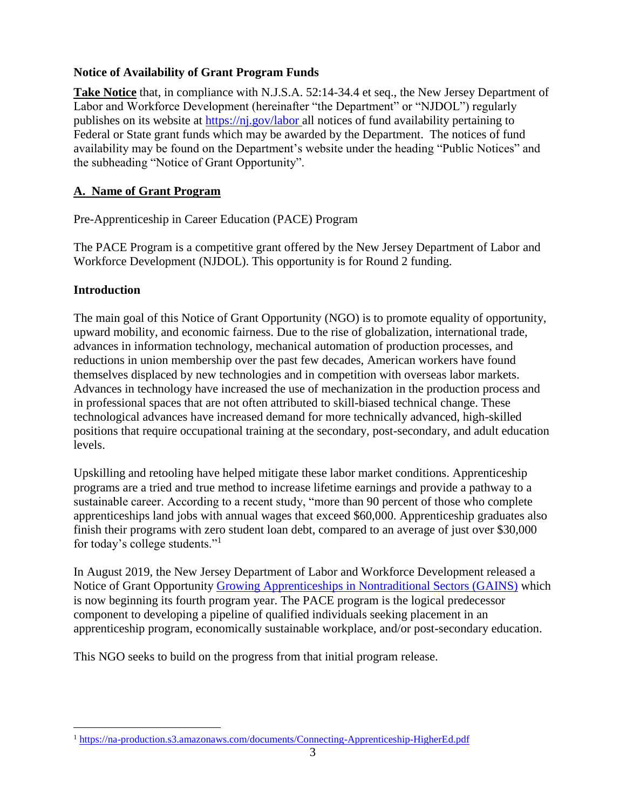# **Notice of Availability of Grant Program Funds**

**Take Notice** that, in compliance with N.J.S.A. 52:14-34.4 et seq., the New Jersey Department of Labor and Workforce Development (hereinafter "the Department" or "NJDOL") regularly publishes on its website at<https://nj.gov/labor> all notices of fund availability pertaining to Federal or State grant funds which may be awarded by the Department. The notices of fund availability may be found on the Department's website under the heading "Public Notices" and the subheading "Notice of Grant Opportunity".

# **A. Name of Grant Program**

Pre-Apprenticeship in Career Education (PACE) Program

The PACE Program is a competitive grant offered by the New Jersey Department of Labor and Workforce Development (NJDOL). This opportunity is for Round 2 funding.

# **Introduction**

The main goal of this Notice of Grant Opportunity (NGO) is to promote equality of opportunity, upward mobility, and economic fairness. Due to the rise of globalization, international trade, advances in information technology, mechanical automation of production processes, and reductions in union membership over the past few decades, American workers have found themselves displaced by new technologies and in competition with overseas labor markets. Advances in technology have increased the use of mechanization in the production process and in professional spaces that are not often attributed to skill-biased technical change. These technological advances have increased demand for more technically advanced, high-skilled positions that require occupational training at the secondary, post-secondary, and adult education levels.

Upskilling and retooling have helped mitigate these labor market conditions. Apprenticeship programs are a tried and true method to increase lifetime earnings and provide a pathway to a sustainable career. According to a recent study, "more than 90 percent of those who complete apprenticeships land jobs with annual wages that exceed \$60,000. Apprenticeship graduates also finish their programs with zero student loan debt, compared to an average of just over \$30,000 for today's college students."<sup>1</sup>

In August 2019, the New Jersey Department of Labor and Workforce Development released a Notice of Grant Opportunity [Growing Apprenticeships in Nontraditional Sectors \(GAINS\)](https://www.nj.gov/labor/assets/PDFs/Grants/FY21_001_GAINSNGO.pdf) which is now beginning its fourth program year. The PACE program is the logical predecessor component to developing a pipeline of qualified individuals seeking placement in an apprenticeship program, economically sustainable workplace, and/or post-secondary education.

This NGO seeks to build on the progress from that initial program release.

 $\overline{a}$ <sup>1</sup> <https://na-production.s3.amazonaws.com/documents/Connecting-Apprenticeship-HigherEd.pdf>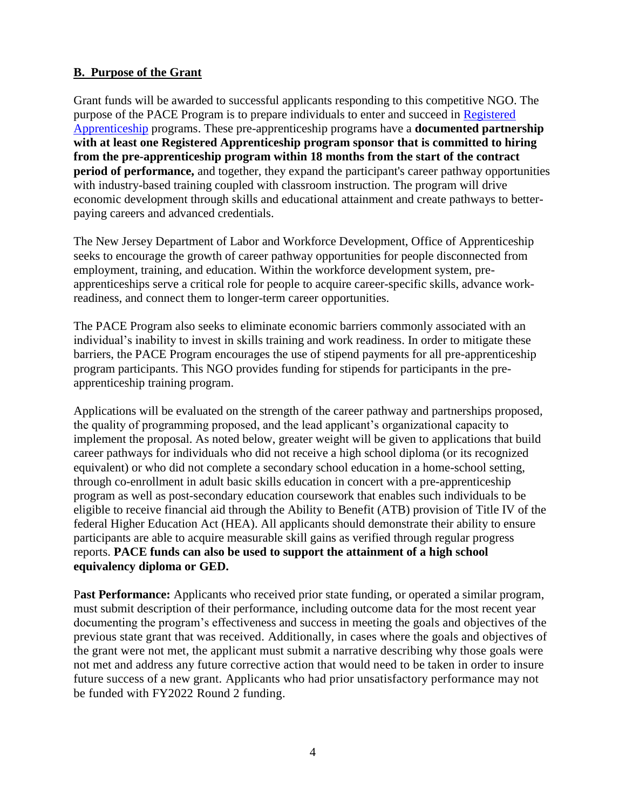# **B. Purpose of the Grant**

Grant funds will be awarded to successful applicants responding to this competitive NGO. The purpose of the PACE Program is to prepare individuals to enter and succeed in [Registered](https://www.apprenticeship.gov/employers/registered-apprenticeship-program)  [Apprenticeship](https://www.apprenticeship.gov/employers/registered-apprenticeship-program) programs. These pre-apprenticeship programs have a **documented partnership with at least one Registered Apprenticeship program sponsor that is committed to hiring from the pre-apprenticeship program within 18 months from the start of the contract period of performance,** and together, they expand the participant's career pathway opportunities with industry-based training coupled with classroom instruction. The program will drive economic development through skills and educational attainment and create pathways to betterpaying careers and advanced credentials.

The New Jersey Department of Labor and Workforce Development, Office of Apprenticeship seeks to encourage the growth of career pathway opportunities for people disconnected from employment, training, and education. Within the workforce development system, preapprenticeships serve a critical role for people to acquire career-specific skills, advance workreadiness, and connect them to longer-term career opportunities.

The PACE Program also seeks to eliminate economic barriers commonly associated with an individual's inability to invest in skills training and work readiness. In order to mitigate these barriers, the PACE Program encourages the use of stipend payments for all pre-apprenticeship program participants. This NGO provides funding for stipends for participants in the preapprenticeship training program.

Applications will be evaluated on the strength of the career pathway and partnerships proposed, the quality of programming proposed, and the lead applicant's organizational capacity to implement the proposal. As noted below, greater weight will be given to applications that build career pathways for individuals who did not receive a high school diploma (or its recognized equivalent) or who did not complete a secondary school education in a home-school setting, through co-enrollment in adult basic skills education in concert with a pre-apprenticeship program as well as post-secondary education coursework that enables such individuals to be eligible to receive financial aid through the Ability to Benefit (ATB) provision of Title IV of the federal Higher Education Act (HEA). All applicants should demonstrate their ability to ensure participants are able to acquire measurable skill gains as verified through regular progress reports. **PACE funds can also be used to support the attainment of a high school equivalency diploma or GED.**

P**ast Performance:** Applicants who received prior state funding, or operated a similar program, must submit description of their performance, including outcome data for the most recent year documenting the program's effectiveness and success in meeting the goals and objectives of the previous state grant that was received. Additionally, in cases where the goals and objectives of the grant were not met, the applicant must submit a narrative describing why those goals were not met and address any future corrective action that would need to be taken in order to insure future success of a new grant. Applicants who had prior unsatisfactory performance may not be funded with FY2022 Round 2 funding.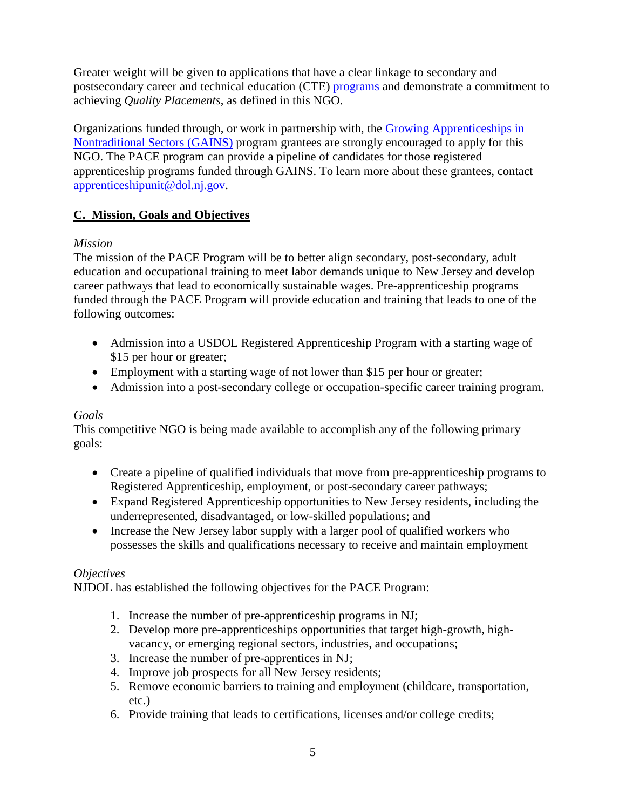Greater weight will be given to applications that have a clear linkage to secondary and postsecondary career and technical education (CTE) [programs](https://www.nj.gov/education/cte/) and demonstrate a commitment to achieving *Quality Placements*, as defined in this NGO.

Organizations funded through, or work in partnership with, the [Growing Apprenticeships in](https://www.nj.gov/labor/assets/PDFs/Grants/FY21_001_GAINSNGO.pdf)  [Nontraditional Sectors \(GAINS\)](https://www.nj.gov/labor/assets/PDFs/Grants/FY21_001_GAINSNGO.pdf) program grantees are strongly encouraged to apply for this NGO. The PACE program can provide a pipeline of candidates for those registered apprenticeship programs funded through GAINS. To learn more about these grantees, contact [apprenticeshipunit@dol.nj.gov.](mailto:apprenticeshipunit@dol.nj.gov)

# **C. Mission, Goals and Objectives**

# *Mission*

The mission of the PACE Program will be to better align secondary, post-secondary, adult education and occupational training to meet labor demands unique to New Jersey and develop career pathways that lead to economically sustainable wages. Pre-apprenticeship programs funded through the PACE Program will provide education and training that leads to one of the following outcomes:

- Admission into a USDOL Registered Apprenticeship Program with a starting wage of \$15 per hour or greater;
- Employment with a starting wage of not lower than \$15 per hour or greater;
- Admission into a post-secondary college or occupation-specific career training program.

# *Goals*

This competitive NGO is being made available to accomplish any of the following primary goals:

- Create a pipeline of qualified individuals that move from pre-apprenticeship programs to Registered Apprenticeship, employment, or post-secondary career pathways;
- Expand Registered Apprenticeship opportunities to New Jersey residents, including the underrepresented, disadvantaged, or low-skilled populations; and
- Increase the New Jersey labor supply with a larger pool of qualified workers who possesses the skills and qualifications necessary to receive and maintain employment

# *Objectives*

NJDOL has established the following objectives for the PACE Program:

- 1. Increase the number of pre-apprenticeship programs in NJ;
- 2. Develop more pre-apprenticeships opportunities that target high-growth, highvacancy, or emerging regional sectors, industries, and occupations;
- 3. Increase the number of pre-apprentices in NJ;
- 4. Improve job prospects for all New Jersey residents;
- 5. Remove economic barriers to training and employment (childcare, transportation, etc.)
- 6. Provide training that leads to certifications, licenses and/or college credits;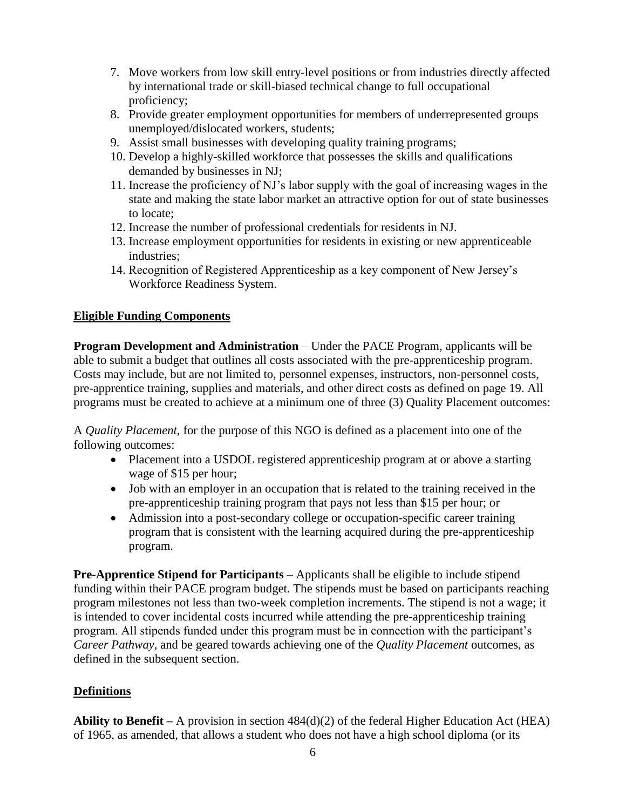- 7. Move workers from low skill entry-level positions or from industries directly affected by international trade or skill-biased technical change to full occupational proficiency;
- 8. Provide greater employment opportunities for members of underrepresented groups unemployed/dislocated workers, students;
- 9. Assist small businesses with developing quality training programs;
- 10. Develop a highly-skilled workforce that possesses the skills and qualifications demanded by businesses in NJ;
- 11. Increase the proficiency of NJ's labor supply with the goal of increasing wages in the state and making the state labor market an attractive option for out of state businesses to locate;
- 12. Increase the number of professional credentials for residents in NJ.
- 13. Increase employment opportunities for residents in existing or new apprenticeable industries;
- 14. Recognition of Registered Apprenticeship as a key component of New Jersey's Workforce Readiness System.

# **Eligible Funding Components**

**Program Development and Administration** – Under the PACE Program, applicants will be able to submit a budget that outlines all costs associated with the pre-apprenticeship program. Costs may include, but are not limited to, personnel expenses, instructors, non-personnel costs, pre-apprentice training, supplies and materials, and other direct costs as defined on page 19. All programs must be created to achieve at a minimum one of three (3) Quality Placement outcomes:

A *Quality Placement*, for the purpose of this NGO is defined as a placement into one of the following outcomes:

- Placement into a USDOL registered apprenticeship program at or above a starting wage of \$15 per hour;
- Job with an employer in an occupation that is related to the training received in the pre-apprenticeship training program that pays not less than \$15 per hour; or
- Admission into a post-secondary college or occupation-specific career training program that is consistent with the learning acquired during the pre-apprenticeship program.

**Pre-Apprentice Stipend for Participants** – Applicants shall be eligible to include stipend funding within their PACE program budget. The stipends must be based on participants reaching program milestones not less than two-week completion increments. The stipend is not a wage; it is intended to cover incidental costs incurred while attending the pre-apprenticeship training program. All stipends funded under this program must be in connection with the participant's *Career Pathway,* and be geared towards achieving one of the *Quality Placement* outcomes, as defined in the subsequent section.

# **Definitions**

**Ability to Benefit –** A provision in section 484(d)(2) of the federal Higher Education Act (HEA) of 1965, as amended, that allows a student who does not have a high school diploma (or its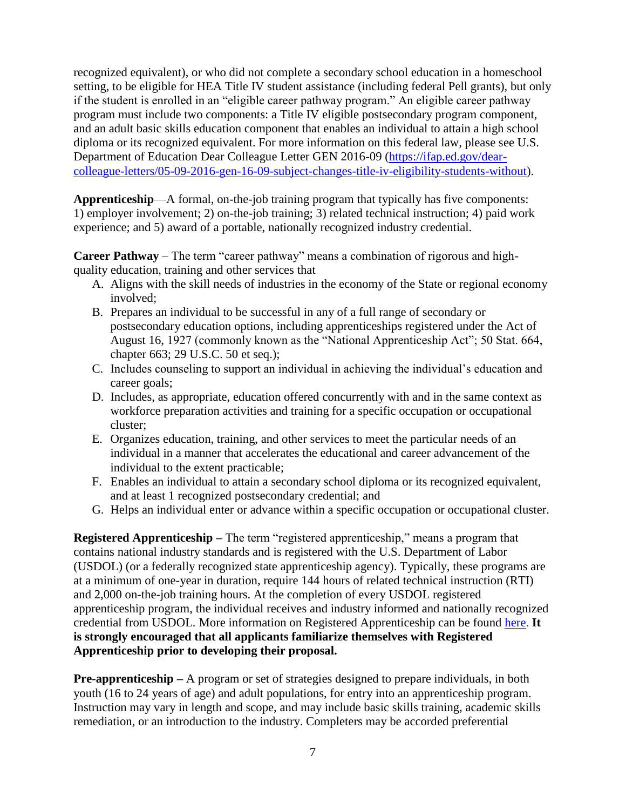recognized equivalent), or who did not complete a secondary school education in a homeschool setting, to be eligible for HEA Title IV student assistance (including federal Pell grants), but only if the student is enrolled in an "eligible career pathway program." An eligible career pathway program must include two components: a Title IV eligible postsecondary program component, and an adult basic skills education component that enables an individual to attain a high school diploma or its recognized equivalent. For more information on this federal law, please see U.S. Department of Education Dear Colleague Letter GEN 2016-09 [\(https://ifap.ed.gov/dear](https://ifap.ed.gov/dear-colleague-letters/05-09-2016-gen-16-09-subject-changes-title-iv-eligibility-students-without)[colleague-letters/05-09-2016-gen-16-09-subject-changes-title-iv-eligibility-students-without\)](https://ifap.ed.gov/dear-colleague-letters/05-09-2016-gen-16-09-subject-changes-title-iv-eligibility-students-without).

**Apprenticeship**—A formal, on-the-job training program that typically has five components: 1) employer involvement; 2) on-the-job training; 3) related technical instruction; 4) paid work experience; and 5) award of a portable, nationally recognized industry credential.

**Career Pathway** – The term "career pathway" means a combination of rigorous and highquality education, training and other services that

- A. Aligns with the skill needs of industries in the economy of the State or regional economy involved;
- B. Prepares an individual to be successful in any of a full range of secondary or postsecondary education options, including apprenticeships registered under the Act of August 16, 1927 (commonly known as the "National Apprenticeship Act"; 50 Stat. 664, chapter 663; 29 U.S.C. 50 et seq.);
- C. Includes counseling to support an individual in achieving the individual's education and career goals;
- D. Includes, as appropriate, education offered concurrently with and in the same context as workforce preparation activities and training for a specific occupation or occupational cluster;
- E. Organizes education, training, and other services to meet the particular needs of an individual in a manner that accelerates the educational and career advancement of the individual to the extent practicable;
- F. Enables an individual to attain a secondary school diploma or its recognized equivalent, and at least 1 recognized postsecondary credential; and
- G. Helps an individual enter or advance within a specific occupation or occupational cluster.

**Registered Apprenticeship –** The term "registered apprenticeship," means a program that contains national industry standards and is registered with the U.S. Department of Labor (USDOL) (or a federally recognized state apprenticeship agency). Typically, these programs are at a minimum of one-year in duration, require 144 hours of related technical instruction (RTI) and 2,000 on-the-job training hours. At the completion of every USDOL registered apprenticeship program, the individual receives and industry informed and nationally recognized credential from USDOL. More information on Registered Apprenticeship can be found [here.](https://www.dol.gov/featured/apprenticeship/faqs) **It is strongly encouraged that all applicants familiarize themselves with Registered Apprenticeship prior to developing their proposal.** 

**Pre-apprenticeship** – A program or set of strategies designed to prepare individuals, in both youth (16 to 24 years of age) and adult populations, for entry into an apprenticeship program. Instruction may vary in length and scope, and may include basic skills training, academic skills remediation, or an introduction to the industry. Completers may be accorded preferential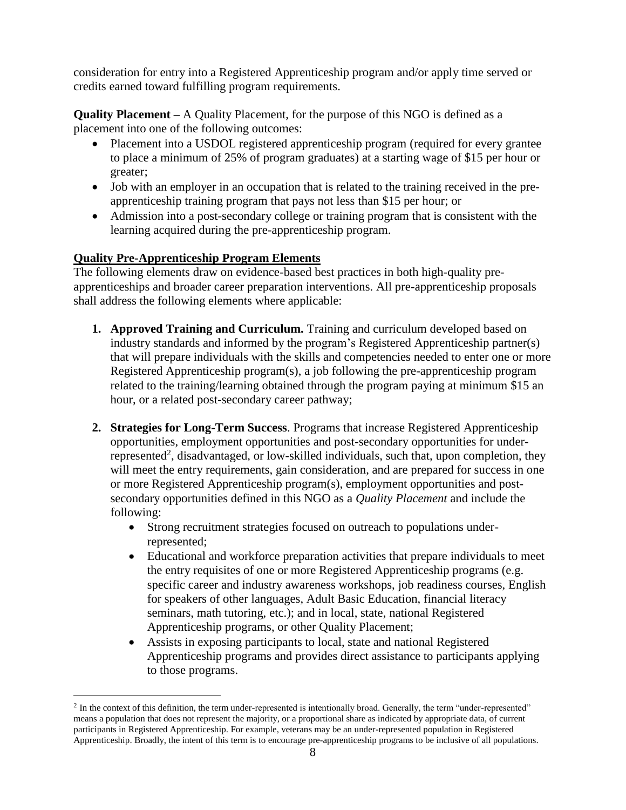consideration for entry into a Registered Apprenticeship program and/or apply time served or credits earned toward fulfilling program requirements.

**Quality Placement –** A Quality Placement, for the purpose of this NGO is defined as a placement into one of the following outcomes:

- Placement into a USDOL registered apprenticeship program (required for every grantee to place a minimum of 25% of program graduates) at a starting wage of \$15 per hour or greater;
- Job with an employer in an occupation that is related to the training received in the preapprenticeship training program that pays not less than \$15 per hour; or
- Admission into a post-secondary college or training program that is consistent with the learning acquired during the pre-apprenticeship program.

# **Quality Pre-Apprenticeship Program Elements**

 $\overline{a}$ 

The following elements draw on evidence-based best practices in both high-quality preapprenticeships and broader career preparation interventions. All pre-apprenticeship proposals shall address the following elements where applicable:

- **1. Approved Training and Curriculum.** Training and curriculum developed based on industry standards and informed by the program's Registered Apprenticeship partner(s) that will prepare individuals with the skills and competencies needed to enter one or more Registered Apprenticeship program(s), a job following the pre-apprenticeship program related to the training/learning obtained through the program paying at minimum \$15 an hour, or a related post-secondary career pathway;
- **2. Strategies for Long-Term Success**. Programs that increase Registered Apprenticeship opportunities, employment opportunities and post-secondary opportunities for underrepresented<sup>2</sup>, disadvantaged, or low-skilled individuals, such that, upon completion, they will meet the entry requirements, gain consideration, and are prepared for success in one or more Registered Apprenticeship program(s), employment opportunities and postsecondary opportunities defined in this NGO as a *Quality Placement* and include the following:
	- Strong recruitment strategies focused on outreach to populations underrepresented;
	- Educational and workforce preparation activities that prepare individuals to meet the entry requisites of one or more Registered Apprenticeship programs (e.g. specific career and industry awareness workshops, job readiness courses, English for speakers of other languages, Adult Basic Education, financial literacy seminars, math tutoring, etc.); and in local, state, national Registered Apprenticeship programs, or other Quality Placement;
	- Assists in exposing participants to local, state and national Registered Apprenticeship programs and provides direct assistance to participants applying to those programs.

 $<sup>2</sup>$  In the context of this definition, the term under-represented is intentionally broad. Generally, the term "under-represented"</sup> means a population that does not represent the majority, or a proportional share as indicated by appropriate data, of current participants in Registered Apprenticeship. For example, veterans may be an under-represented population in Registered Apprenticeship. Broadly, the intent of this term is to encourage pre-apprenticeship programs to be inclusive of all populations.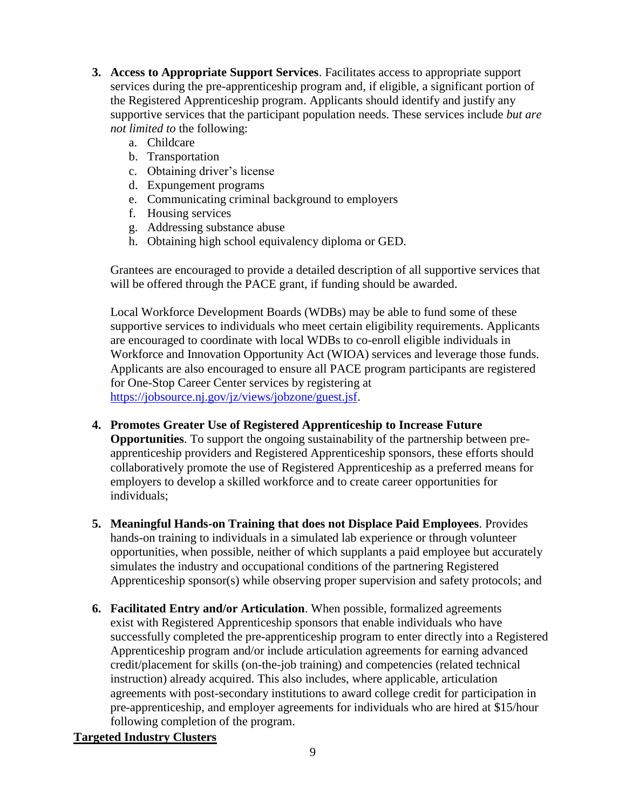- **3. Access to Appropriate Support Services**. Facilitates access to appropriate support services during the pre-apprenticeship program and, if eligible, a significant portion of the Registered Apprenticeship program. Applicants should identify and justify any supportive services that the participant population needs. These services include *but are not limited to* the following:
	- a. Childcare
	- b. Transportation
	- c. Obtaining driver's license
	- d. Expungement programs
	- e. Communicating criminal background to employers
	- f. Housing services
	- g. Addressing substance abuse
	- h. Obtaining high school equivalency diploma or GED.

Grantees are encouraged to provide a detailed description of all supportive services that will be offered through the PACE grant, if funding should be awarded.

Local Workforce Development Boards (WDBs) may be able to fund some of these supportive services to individuals who meet certain eligibility requirements. Applicants are encouraged to coordinate with local WDBs to co-enroll eligible individuals in Workforce and Innovation Opportunity Act (WIOA) services and leverage those funds. Applicants are also encouraged to ensure all PACE program participants are registered for One-Stop Career Center services by registering at [https://jobsource.nj.gov/jz/views/jobzone/guest.jsf.](https://jobsource.nj.gov/jz/views/jobzone/guest.jsf)

# **4. Promotes Greater Use of Registered Apprenticeship to Increase Future**

**Opportunities**. To support the ongoing sustainability of the partnership between preapprenticeship providers and Registered Apprenticeship sponsors, these efforts should collaboratively promote the use of Registered Apprenticeship as a preferred means for employers to develop a skilled workforce and to create career opportunities for individuals;

- **5. Meaningful Hands-on Training that does not Displace Paid Employees**. Provides hands-on training to individuals in a simulated lab experience or through volunteer opportunities, when possible, neither of which supplants a paid employee but accurately simulates the industry and occupational conditions of the partnering Registered Apprenticeship sponsor(s) while observing proper supervision and safety protocols; and
- **6. Facilitated Entry and/or Articulation**. When possible, formalized agreements exist with Registered Apprenticeship sponsors that enable individuals who have successfully completed the pre-apprenticeship program to enter directly into a Registered Apprenticeship program and/or include articulation agreements for earning advanced credit/placement for skills (on-the-job training) and competencies (related technical instruction) already acquired. This also includes, where applicable, articulation agreements with post-secondary institutions to award college credit for participation in pre-apprenticeship, and employer agreements for individuals who are hired at \$15/hour following completion of the program.

# **Targeted Industry Clusters**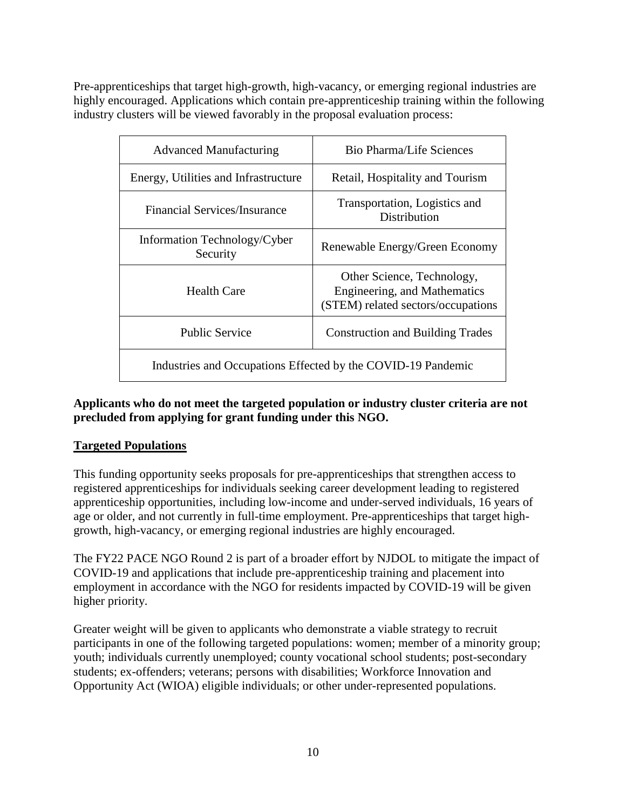Pre-apprenticeships that target high-growth, high-vacancy, or emerging regional industries are highly encouraged. Applications which contain pre-apprenticeship training within the following industry clusters will be viewed favorably in the proposal evaluation process:

| <b>Advanced Manufacturing</b>                                | Bio Pharma/Life Sciences                                                                         |  |  |
|--------------------------------------------------------------|--------------------------------------------------------------------------------------------------|--|--|
| Energy, Utilities and Infrastructure                         | Retail, Hospitality and Tourism                                                                  |  |  |
| Financial Services/Insurance                                 | Transportation, Logistics and<br>Distribution                                                    |  |  |
| Information Technology/Cyber<br>Security                     | Renewable Energy/Green Economy                                                                   |  |  |
| Health Care                                                  | Other Science, Technology,<br>Engineering, and Mathematics<br>(STEM) related sectors/occupations |  |  |
| <b>Public Service</b>                                        | <b>Construction and Building Trades</b>                                                          |  |  |
| Industries and Occupations Effected by the COVID-19 Pandemic |                                                                                                  |  |  |

# **Applicants who do not meet the targeted population or industry cluster criteria are not precluded from applying for grant funding under this NGO.**

# **Targeted Populations**

This funding opportunity seeks proposals for pre-apprenticeships that strengthen access to registered apprenticeships for individuals seeking career development leading to registered apprenticeship opportunities, including low-income and under-served individuals, 16 years of age or older, and not currently in full-time employment. Pre-apprenticeships that target highgrowth, high-vacancy, or emerging regional industries are highly encouraged.

The FY22 PACE NGO Round 2 is part of a broader effort by NJDOL to mitigate the impact of COVID-19 and applications that include pre-apprenticeship training and placement into employment in accordance with the NGO for residents impacted by COVID-19 will be given higher priority.

Greater weight will be given to applicants who demonstrate a viable strategy to recruit participants in one of the following targeted populations: women; member of a minority group; youth; individuals currently unemployed; county vocational school students; post-secondary students; ex-offenders; veterans; persons with disabilities; Workforce Innovation and Opportunity Act (WIOA) eligible individuals; or other under-represented populations.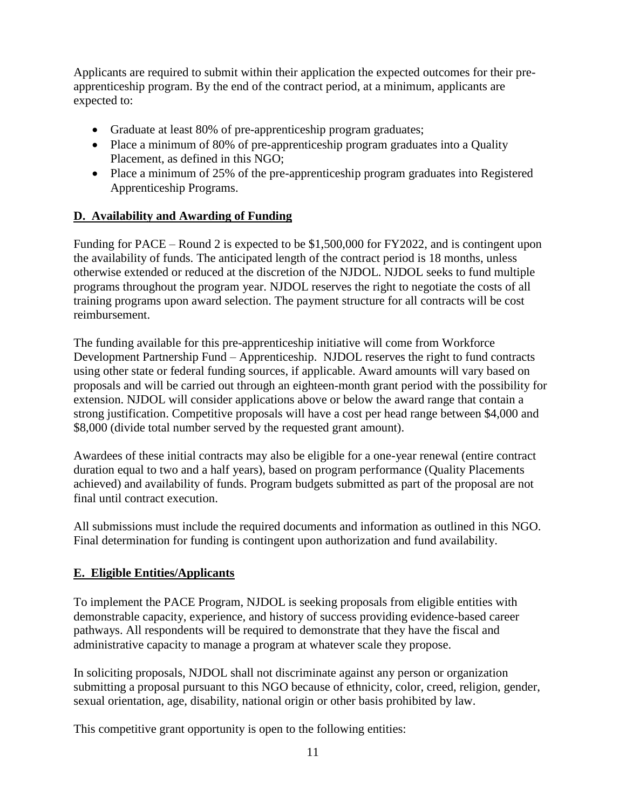Applicants are required to submit within their application the expected outcomes for their preapprenticeship program. By the end of the contract period, at a minimum, applicants are expected to:

- Graduate at least 80% of pre-apprenticeship program graduates;
- Place a minimum of 80% of pre-apprenticeship program graduates into a Quality Placement, as defined in this NGO;
- Place a minimum of 25% of the pre-apprenticeship program graduates into Registered Apprenticeship Programs.

# **D. Availability and Awarding of Funding**

Funding for PACE – Round 2 is expected to be \$1,500,000 for FY2022, and is contingent upon the availability of funds. The anticipated length of the contract period is 18 months, unless otherwise extended or reduced at the discretion of the NJDOL. NJDOL seeks to fund multiple programs throughout the program year. NJDOL reserves the right to negotiate the costs of all training programs upon award selection. The payment structure for all contracts will be cost reimbursement.

The funding available for this pre-apprenticeship initiative will come from Workforce Development Partnership Fund – Apprenticeship. NJDOL reserves the right to fund contracts using other state or federal funding sources, if applicable. Award amounts will vary based on proposals and will be carried out through an eighteen-month grant period with the possibility for extension. NJDOL will consider applications above or below the award range that contain a strong justification. Competitive proposals will have a cost per head range between \$4,000 and \$8,000 (divide total number served by the requested grant amount).

Awardees of these initial contracts may also be eligible for a one-year renewal (entire contract duration equal to two and a half years), based on program performance (Quality Placements achieved) and availability of funds. Program budgets submitted as part of the proposal are not final until contract execution.

All submissions must include the required documents and information as outlined in this NGO. Final determination for funding is contingent upon authorization and fund availability.

# **E. Eligible Entities/Applicants**

To implement the PACE Program, NJDOL is seeking proposals from eligible entities with demonstrable capacity, experience, and history of success providing evidence-based career pathways. All respondents will be required to demonstrate that they have the fiscal and administrative capacity to manage a program at whatever scale they propose.

In soliciting proposals, NJDOL shall not discriminate against any person or organization submitting a proposal pursuant to this NGO because of ethnicity, color, creed, religion, gender, sexual orientation, age, disability, national origin or other basis prohibited by law.

This competitive grant opportunity is open to the following entities: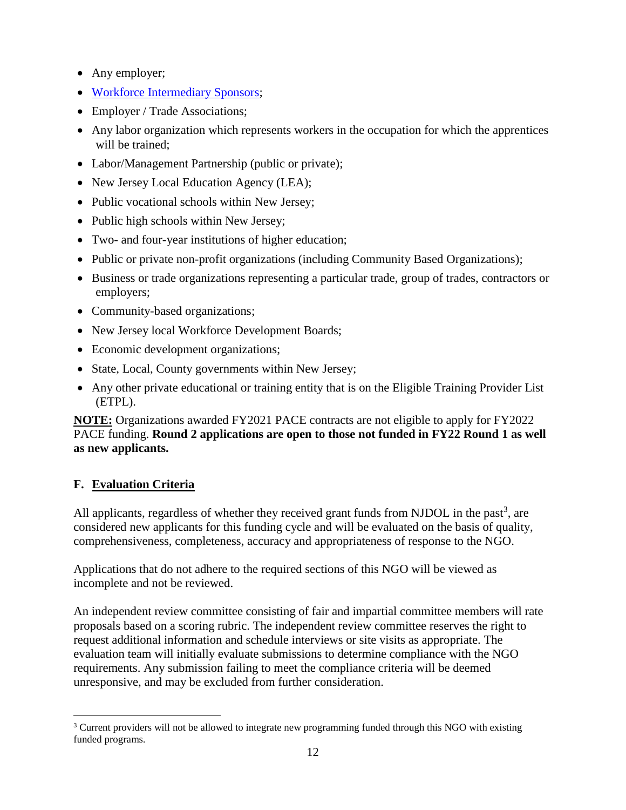- Any employer;
- [Workforce Intermediary Sponsors;](https://www.doleta.gov/oa/bul16/Bulletin_2016-26.pdf)
- Employer / Trade Associations;
- Any labor organization which represents workers in the occupation for which the apprentices will be trained;
- Labor/Management Partnership (public or private);
- New Jersey Local Education Agency (LEA);
- Public vocational schools within New Jersey;
- Public high schools within New Jersey;
- Two- and four-year institutions of higher education;
- Public or private non-profit organizations (including Community Based Organizations);
- Business or trade organizations representing a particular trade, group of trades, contractors or employers;
- Community-based organizations;
- New Jersey local Workforce Development Boards;
- Economic development organizations;
- State, Local, County governments within New Jersey;
- Any other private educational or training entity that is on the Eligible Training Provider List (ETPL).

**NOTE:** Organizations awarded FY2021 PACE contracts are not eligible to apply for FY2022 PACE funding. **Round 2 applications are open to those not funded in FY22 Round 1 as well as new applicants.**

# **F. Evaluation Criteria**

All applicants, regardless of whether they received grant funds from NJDOL in the past<sup>3</sup>, are considered new applicants for this funding cycle and will be evaluated on the basis of quality, comprehensiveness, completeness, accuracy and appropriateness of response to the NGO.

Applications that do not adhere to the required sections of this NGO will be viewed as incomplete and not be reviewed.

An independent review committee consisting of fair and impartial committee members will rate proposals based on a scoring rubric. The independent review committee reserves the right to request additional information and schedule interviews or site visits as appropriate. The evaluation team will initially evaluate submissions to determine compliance with the NGO requirements. Any submission failing to meet the compliance criteria will be deemed unresponsive, and may be excluded from further consideration.

 $\overline{a}$ <sup>3</sup> Current providers will not be allowed to integrate new programming funded through this NGO with existing funded programs.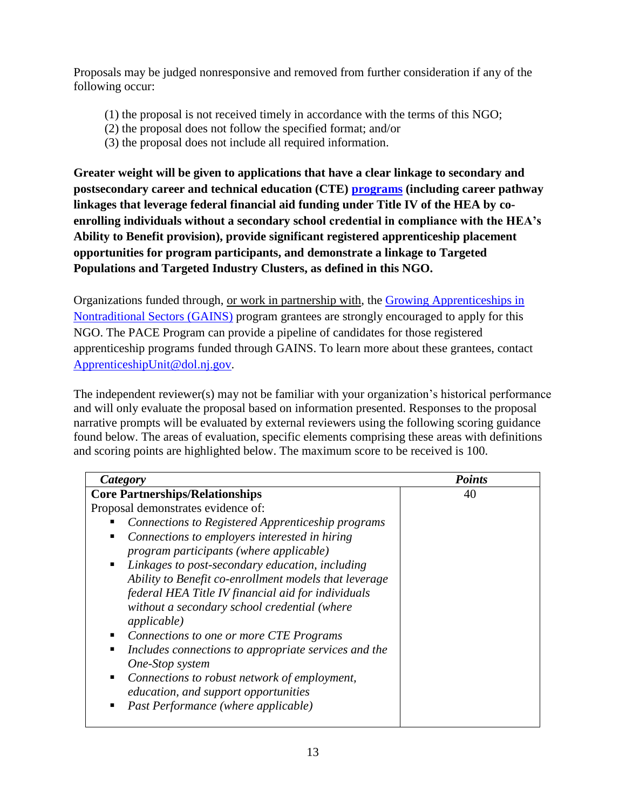Proposals may be judged nonresponsive and removed from further consideration if any of the following occur:

- (1) the proposal is not received timely in accordance with the terms of this NGO;
- (2) the proposal does not follow the specified format; and/or
- (3) the proposal does not include all required information.

**Greater weight will be given to applications that have a clear linkage to secondary and postsecondary career and technical education (CTE) [programs](https://www.nj.gov/education/cte/) (including career pathway linkages that leverage federal financial aid funding under Title IV of the HEA by coenrolling individuals without a secondary school credential in compliance with the HEA's Ability to Benefit provision), provide significant registered apprenticeship placement opportunities for program participants, and demonstrate a linkage to Targeted Populations and Targeted Industry Clusters, as defined in this NGO.**

Organizations funded through, or work in partnership with, the [Growing Apprenticeships in](https://www.nj.gov/labor/assets/PDFs/Grants/FY21_001_GAINSNGO.pdf)  [Nontraditional Sectors \(GAINS\)](https://www.nj.gov/labor/assets/PDFs/Grants/FY21_001_GAINSNGO.pdf) program grantees are strongly encouraged to apply for this NGO. The PACE Program can provide a pipeline of candidates for those registered apprenticeship programs funded through GAINS. To learn more about these grantees, contact [ApprenticeshipUnit@dol.nj.gov.](mailto:ApprenticeshipUnit@dol.nj.gov)

The independent reviewer(s) may not be familiar with your organization's historical performance and will only evaluate the proposal based on information presented. Responses to the proposal narrative prompts will be evaluated by external reviewers using the following scoring guidance found below. The areas of evaluation, specific elements comprising these areas with definitions and scoring points are highlighted below. The maximum score to be received is 100.

| Category                                                  | <b>Points</b> |  |
|-----------------------------------------------------------|---------------|--|
| <b>Core Partnerships/Relationships</b>                    | 40            |  |
| Proposal demonstrates evidence of:                        |               |  |
| Connections to Registered Apprenticeship programs         |               |  |
| Connections to employers interested in hiring<br>ш        |               |  |
| program participants (where applicable)                   |               |  |
| Linkages to post-secondary education, including<br>٠      |               |  |
| Ability to Benefit co-enrollment models that leverage     |               |  |
| federal HEA Title IV financial aid for individuals        |               |  |
| without a secondary school credential (where              |               |  |
| <i>applicable</i> )                                       |               |  |
| Connections to one or more CTE Programs<br>ш              |               |  |
| Includes connections to appropriate services and the<br>п |               |  |
| One-Stop system                                           |               |  |
| Connections to robust network of employment,<br>٠         |               |  |
| education, and support opportunities                      |               |  |
| Past Performance (where applicable)                       |               |  |
|                                                           |               |  |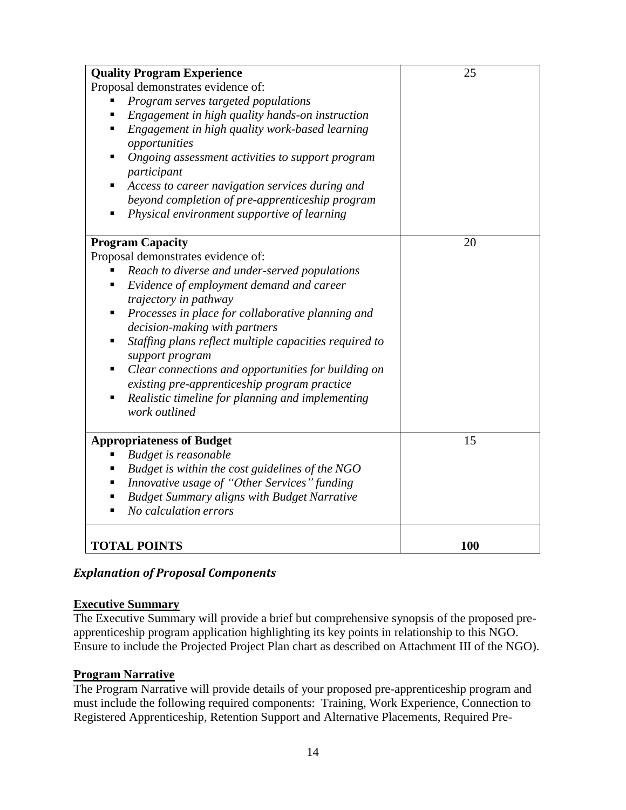| <b>Quality Program Experience</b>                                                                        | 25  |
|----------------------------------------------------------------------------------------------------------|-----|
| Proposal demonstrates evidence of:                                                                       |     |
| Program serves targeted populations                                                                      |     |
| Engagement in high quality hands-on instruction<br>п                                                     |     |
| Engagement in high quality work-based learning<br>opportunities                                          |     |
| Ongoing assessment activities to support program<br>participant                                          |     |
| Access to career navigation services during and                                                          |     |
| beyond completion of pre-apprenticeship program                                                          |     |
| Physical environment supportive of learning                                                              |     |
| <b>Program Capacity</b>                                                                                  | 20  |
| Proposal demonstrates evidence of:                                                                       |     |
| Reach to diverse and under-served populations                                                            |     |
| Evidence of employment demand and career<br>٠                                                            |     |
| trajectory in pathway                                                                                    |     |
| Processes in place for collaborative planning and<br>decision-making with partners                       |     |
| Staffing plans reflect multiple capacities required to<br>п<br>support program                           |     |
| Clear connections and opportunities for building on<br>٠<br>existing pre-apprenticeship program practice |     |
| Realistic timeline for planning and implementing<br>п<br>work outlined                                   |     |
| <b>Appropriateness of Budget</b>                                                                         | 15  |
| Budget is reasonable                                                                                     |     |
| Budget is within the cost guidelines of the NGO                                                          |     |
| Innovative usage of "Other Services" funding                                                             |     |
| <b>Budget Summary aligns with Budget Narrative</b>                                                       |     |
| No calculation errors                                                                                    |     |
| <b>TOTAL POINTS</b>                                                                                      | 100 |

# *Explanation of Proposal Components*

#### **Executive Summary**

The Executive Summary will provide a brief but comprehensive synopsis of the proposed preapprenticeship program application highlighting its key points in relationship to this NGO. Ensure to include the Projected Project Plan chart as described on Attachment III of the NGO).

#### **Program Narrative**

The Program Narrative will provide details of your proposed pre-apprenticeship program and must include the following required components: Training, Work Experience, Connection to Registered Apprenticeship, Retention Support and Alternative Placements, Required Pre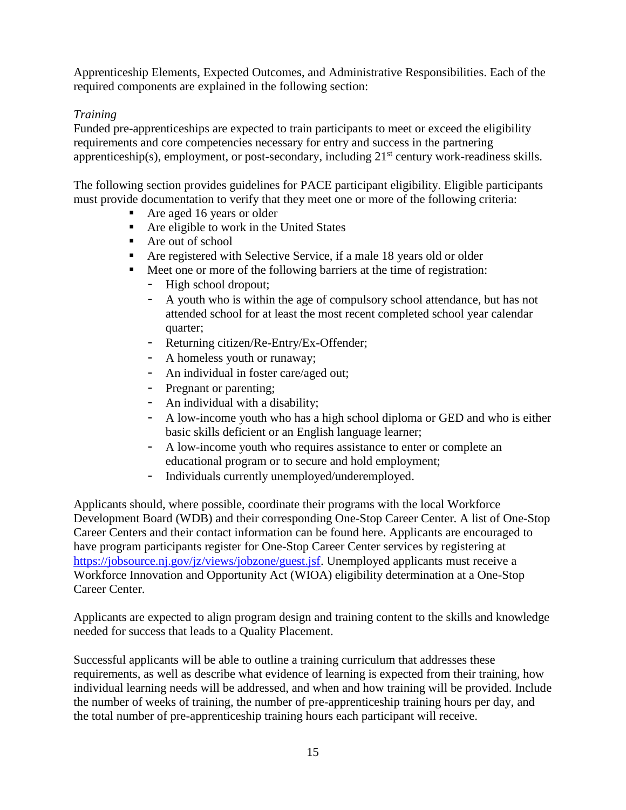Apprenticeship Elements, Expected Outcomes, and Administrative Responsibilities. Each of the required components are explained in the following section:

# *Training*

Funded pre-apprenticeships are expected to train participants to meet or exceed the eligibility requirements and core competencies necessary for entry and success in the partnering apprenticeship(s), employment, or post-secondary, including  $21<sup>st</sup>$  century work-readiness skills.

The following section provides guidelines for PACE participant eligibility. Eligible participants must provide documentation to verify that they meet one or more of the following criteria:

- Are aged 16 years or older
- Are eligible to work in the United States
- Are out of school
- Are registered with Selective Service, if a male 18 years old or older
- Meet one or more of the following barriers at the time of registration:
	- High school dropout;
	- A youth who is within the age of compulsory school attendance, but has not attended school for at least the most recent completed school year calendar quarter;
	- Returning citizen/Re-Entry/Ex-Offender;
	- A homeless youth or runaway;
	- An individual in foster care/aged out;
	- Pregnant or parenting;
	- An individual with a disability;
	- A low-income youth who has a high school diploma or GED and who is either basic skills deficient or an English language learner;
	- A low-income youth who requires assistance to enter or complete an educational program or to secure and hold employment;
	- Individuals currently unemployed/underemployed.

Applicants should, where possible, coordinate their programs with the local Workforce Development Board (WDB) and their corresponding One-Stop Career Center. A list of One-Stop Career Centers and their contact information can be found here. Applicants are encouraged to have program participants register for One-Stop Career Center services by registering at [https://jobsource.nj.gov/jz/views/jobzone/guest.jsf.](https://jobsource.nj.gov/jz/views/jobzone/guest.jsf) Unemployed applicants must receive a Workforce Innovation and Opportunity Act (WIOA) eligibility determination at a One-Stop Career Center.

Applicants are expected to align program design and training content to the skills and knowledge needed for success that leads to a Quality Placement.

Successful applicants will be able to outline a training curriculum that addresses these requirements, as well as describe what evidence of learning is expected from their training, how individual learning needs will be addressed, and when and how training will be provided. Include the number of weeks of training, the number of pre-apprenticeship training hours per day, and the total number of pre-apprenticeship training hours each participant will receive.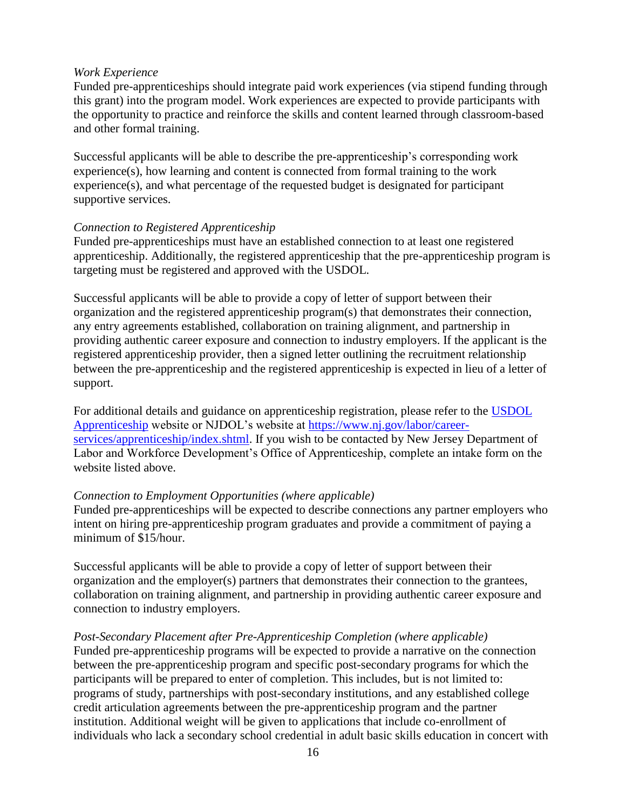#### *Work Experience*

Funded pre-apprenticeships should integrate paid work experiences (via stipend funding through this grant) into the program model. Work experiences are expected to provide participants with the opportunity to practice and reinforce the skills and content learned through classroom-based and other formal training.

Successful applicants will be able to describe the pre-apprenticeship's corresponding work experience(s), how learning and content is connected from formal training to the work experience(s), and what percentage of the requested budget is designated for participant supportive services.

#### *Connection to Registered Apprenticeship*

Funded pre-apprenticeships must have an established connection to at least one registered apprenticeship. Additionally, the registered apprenticeship that the pre-apprenticeship program is targeting must be registered and approved with the USDOL.

Successful applicants will be able to provide a copy of letter of support between their organization and the registered apprenticeship program(s) that demonstrates their connection, any entry agreements established, collaboration on training alignment, and partnership in providing authentic career exposure and connection to industry employers. If the applicant is the registered apprenticeship provider, then a signed letter outlining the recruitment relationship between the pre-apprenticeship and the registered apprenticeship is expected in lieu of a letter of support.

For additional details and guidance on apprenticeship registration, please refer to the [USDOL](https://www.dol.gov/apprenticeship/)  [Apprenticeship](https://www.dol.gov/apprenticeship/) website or NJDOL's website at [https://www.nj.gov/labor/career](https://www.nj.gov/labor/career-services/apprenticeship/index.shtml)[services/apprenticeship/index.shtml.](https://www.nj.gov/labor/career-services/apprenticeship/index.shtml) If you wish to be contacted by New Jersey Department of Labor and Workforce Development's Office of Apprenticeship, complete an intake form on the website listed above.

#### *Connection to Employment Opportunities (where applicable)*

Funded pre-apprenticeships will be expected to describe connections any partner employers who intent on hiring pre-apprenticeship program graduates and provide a commitment of paying a minimum of \$15/hour.

Successful applicants will be able to provide a copy of letter of support between their organization and the employer(s) partners that demonstrates their connection to the grantees, collaboration on training alignment, and partnership in providing authentic career exposure and connection to industry employers.

#### *Post-Secondary Placement after Pre-Apprenticeship Completion (where applicable)*

Funded pre-apprenticeship programs will be expected to provide a narrative on the connection between the pre-apprenticeship program and specific post-secondary programs for which the participants will be prepared to enter of completion. This includes, but is not limited to: programs of study, partnerships with post-secondary institutions, and any established college credit articulation agreements between the pre-apprenticeship program and the partner institution. Additional weight will be given to applications that include co-enrollment of individuals who lack a secondary school credential in adult basic skills education in concert with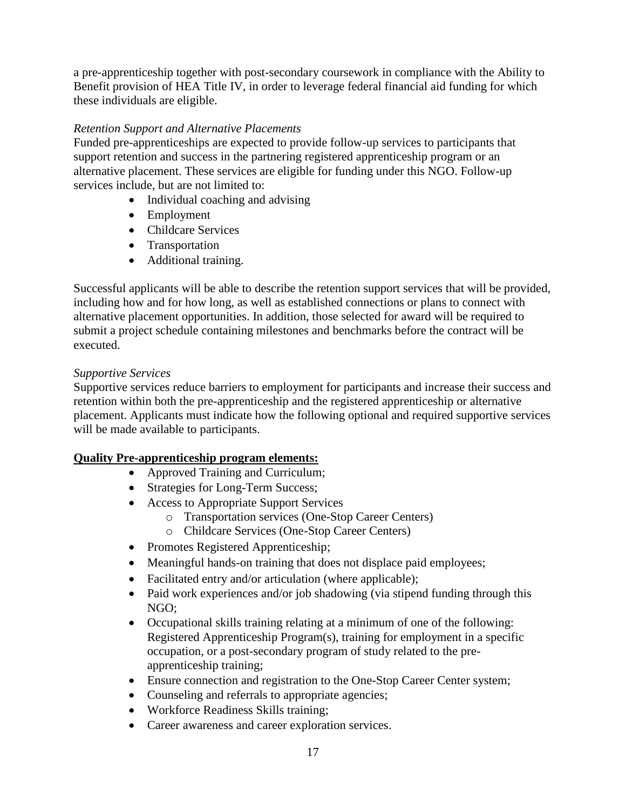a pre-apprenticeship together with post-secondary coursework in compliance with the Ability to Benefit provision of HEA Title IV, in order to leverage federal financial aid funding for which these individuals are eligible.

### *Retention Support and Alternative Placements*

Funded pre-apprenticeships are expected to provide follow-up services to participants that support retention and success in the partnering registered apprenticeship program or an alternative placement. These services are eligible for funding under this NGO. Follow-up services include, but are not limited to:

- Individual coaching and advising
- Employment
- Childcare Services
- Transportation
- Additional training.

Successful applicants will be able to describe the retention support services that will be provided, including how and for how long, as well as established connections or plans to connect with alternative placement opportunities. In addition, those selected for award will be required to submit a project schedule containing milestones and benchmarks before the contract will be executed.

#### *Supportive Services*

Supportive services reduce barriers to employment for participants and increase their success and retention within both the pre-apprenticeship and the registered apprenticeship or alternative placement. Applicants must indicate how the following optional and required supportive services will be made available to participants.

#### **Quality Pre-apprenticeship program elements:**

- Approved Training and Curriculum;
- Strategies for Long-Term Success;
- Access to Appropriate Support Services
	- o Transportation services (One-Stop Career Centers)
	- o Childcare Services (One-Stop Career Centers)
- Promotes Registered Apprenticeship;
- Meaningful hands-on training that does not displace paid employees;
- Facilitated entry and/or articulation (where applicable);
- Paid work experiences and/or job shadowing (via stipend funding through this NGO;
- Occupational skills training relating at a minimum of one of the following: Registered Apprenticeship Program(s), training for employment in a specific occupation, or a post-secondary program of study related to the preapprenticeship training;
- Ensure connection and registration to the One-Stop Career Center system;
- Counseling and referrals to appropriate agencies;
- Workforce Readiness Skills training;
- Career awareness and career exploration services.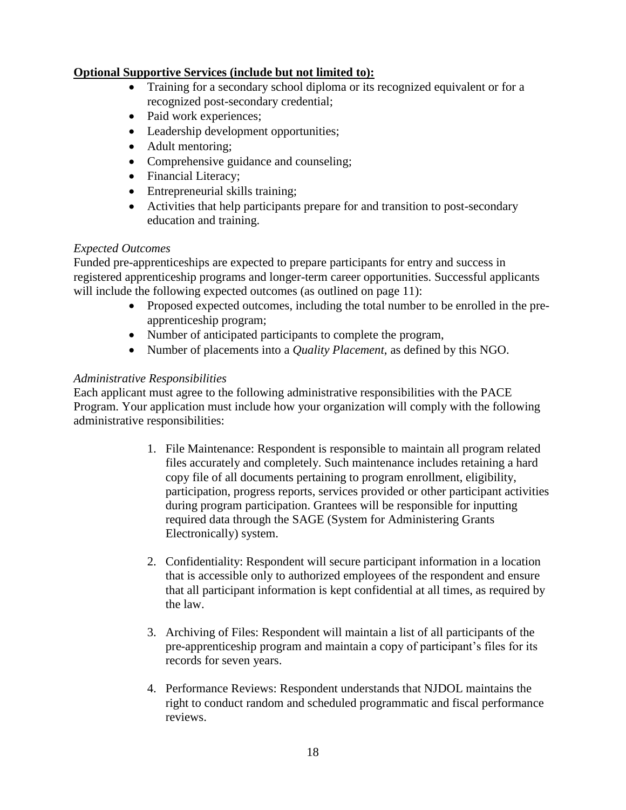# **Optional Supportive Services (include but not limited to):**

- Training for a secondary school diploma or its recognized equivalent or for a recognized post-secondary credential;
- Paid work experiences;
- Leadership development opportunities;
- Adult mentoring;
- Comprehensive guidance and counseling;
- Financial Literacy;
- Entrepreneurial skills training;
- Activities that help participants prepare for and transition to post-secondary education and training.

# *Expected Outcomes*

Funded pre-apprenticeships are expected to prepare participants for entry and success in registered apprenticeship programs and longer-term career opportunities. Successful applicants will include the following expected outcomes (as outlined on page 11):

- Proposed expected outcomes, including the total number to be enrolled in the preapprenticeship program;
- Number of anticipated participants to complete the program,
- Number of placements into a *Quality Placement*, as defined by this NGO.

# *Administrative Responsibilities*

Each applicant must agree to the following administrative responsibilities with the PACE Program. Your application must include how your organization will comply with the following administrative responsibilities:

- 1. File Maintenance: Respondent is responsible to maintain all program related files accurately and completely. Such maintenance includes retaining a hard copy file of all documents pertaining to program enrollment, eligibility, participation, progress reports, services provided or other participant activities during program participation. Grantees will be responsible for inputting required data through the SAGE (System for Administering Grants Electronically) system.
- 2. Confidentiality: Respondent will secure participant information in a location that is accessible only to authorized employees of the respondent and ensure that all participant information is kept confidential at all times, as required by the law.
- 3. Archiving of Files: Respondent will maintain a list of all participants of the pre-apprenticeship program and maintain a copy of participant's files for its records for seven years.
- 4. Performance Reviews: Respondent understands that NJDOL maintains the right to conduct random and scheduled programmatic and fiscal performance reviews.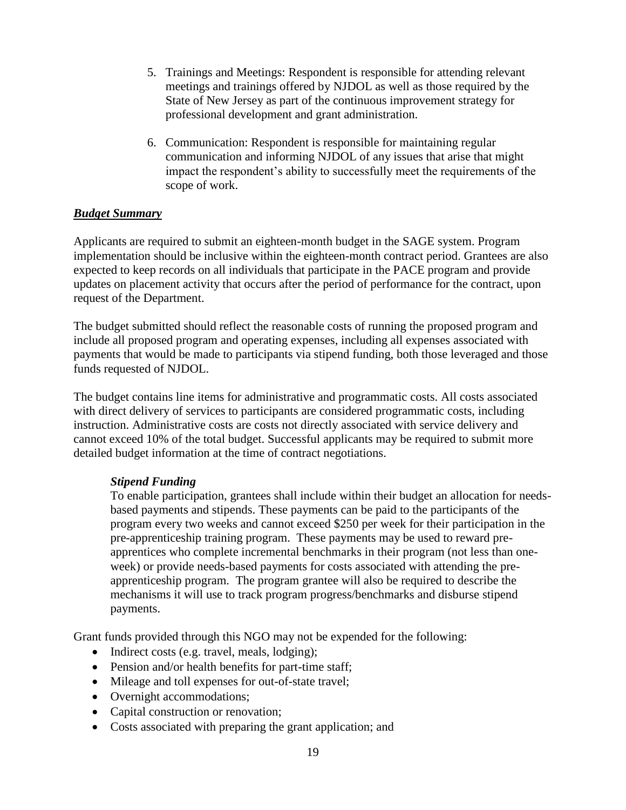- 5. Trainings and Meetings: Respondent is responsible for attending relevant meetings and trainings offered by NJDOL as well as those required by the State of New Jersey as part of the continuous improvement strategy for professional development and grant administration.
- 6. Communication: Respondent is responsible for maintaining regular communication and informing NJDOL of any issues that arise that might impact the respondent's ability to successfully meet the requirements of the scope of work.

# *Budget Summary*

Applicants are required to submit an eighteen-month budget in the SAGE system. Program implementation should be inclusive within the eighteen-month contract period. Grantees are also expected to keep records on all individuals that participate in the PACE program and provide updates on placement activity that occurs after the period of performance for the contract, upon request of the Department.

The budget submitted should reflect the reasonable costs of running the proposed program and include all proposed program and operating expenses, including all expenses associated with payments that would be made to participants via stipend funding, both those leveraged and those funds requested of NJDOL.

The budget contains line items for administrative and programmatic costs. All costs associated with direct delivery of services to participants are considered programmatic costs, including instruction. Administrative costs are costs not directly associated with service delivery and cannot exceed 10% of the total budget. Successful applicants may be required to submit more detailed budget information at the time of contract negotiations.

#### *Stipend Funding*

To enable participation, grantees shall include within their budget an allocation for needsbased payments and stipends. These payments can be paid to the participants of the program every two weeks and cannot exceed \$250 per week for their participation in the pre-apprenticeship training program. These payments may be used to reward preapprentices who complete incremental benchmarks in their program (not less than oneweek) or provide needs-based payments for costs associated with attending the preapprenticeship program. The program grantee will also be required to describe the mechanisms it will use to track program progress/benchmarks and disburse stipend payments.

Grant funds provided through this NGO may not be expended for the following:

- Indirect costs (e.g. travel, meals, lodging);
- Pension and/or health benefits for part-time staff;
- Mileage and toll expenses for out-of-state travel;
- Overnight accommodations;
- Capital construction or renovation;
- Costs associated with preparing the grant application; and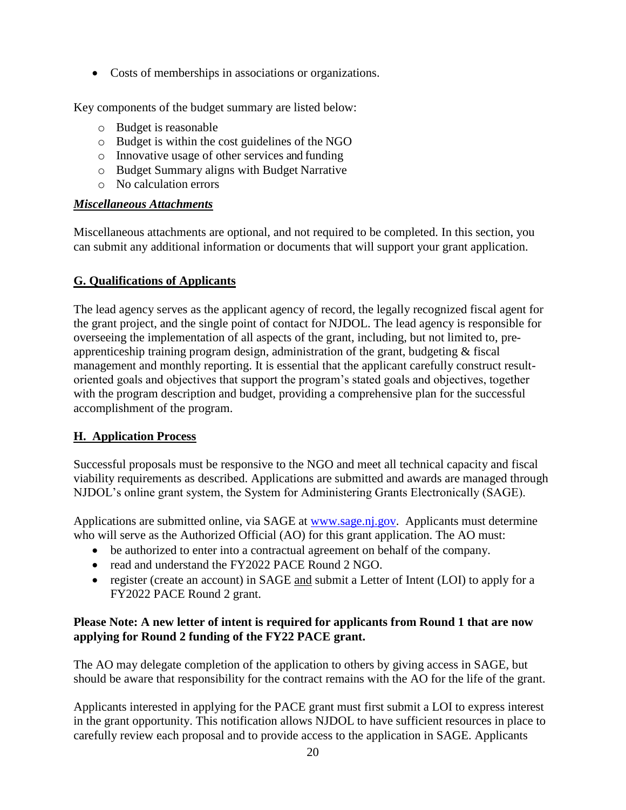• Costs of memberships in associations or organizations.

Key components of the budget summary are listed below:

- o Budget is reasonable
- o Budget is within the cost guidelines of the NGO
- o Innovative usage of other services and funding
- o Budget Summary aligns with Budget Narrative
- o No calculation errors

# *Miscellaneous Attachments*

Miscellaneous attachments are optional, and not required to be completed. In this section, you can submit any additional information or documents that will support your grant application.

# **G. Qualifications of Applicants**

The lead agency serves as the applicant agency of record, the legally recognized fiscal agent for the grant project, and the single point of contact for NJDOL. The lead agency is responsible for overseeing the implementation of all aspects of the grant, including, but not limited to, preapprenticeship training program design, administration of the grant, budgeting & fiscal management and monthly reporting. It is essential that the applicant carefully construct resultoriented goals and objectives that support the program's stated goals and objectives, together with the program description and budget, providing a comprehensive plan for the successful accomplishment of the program.

# **H. Application Process**

Successful proposals must be responsive to the NGO and meet all technical capacity and fiscal viability requirements as described. Applications are submitted and awards are managed through NJDOL's online grant system, the System for Administering Grants Electronically (SAGE).

Applications are submitted online, via SAGE at [www.sage.nj.gov.](http://www.sage.nj.gov/) Applicants must determine who will serve as the Authorized Official (AO) for this grant application. The AO must:

- be authorized to enter into a contractual agreement on behalf of the company.
- read and understand the FY2022 PACE Round 2 NGO.
- register (create an account) in SAGE and submit a Letter of Intent (LOI) to apply for a FY2022 PACE Round 2 grant.

# **Please Note: A new letter of intent is required for applicants from Round 1 that are now applying for Round 2 funding of the FY22 PACE grant.**

The AO may delegate completion of the application to others by giving access in SAGE, but should be aware that responsibility for the contract remains with the AO for the life of the grant.

Applicants interested in applying for the PACE grant must first submit a LOI to express interest in the grant opportunity. This notification allows NJDOL to have sufficient resources in place to carefully review each proposal and to provide access to the application in SAGE. Applicants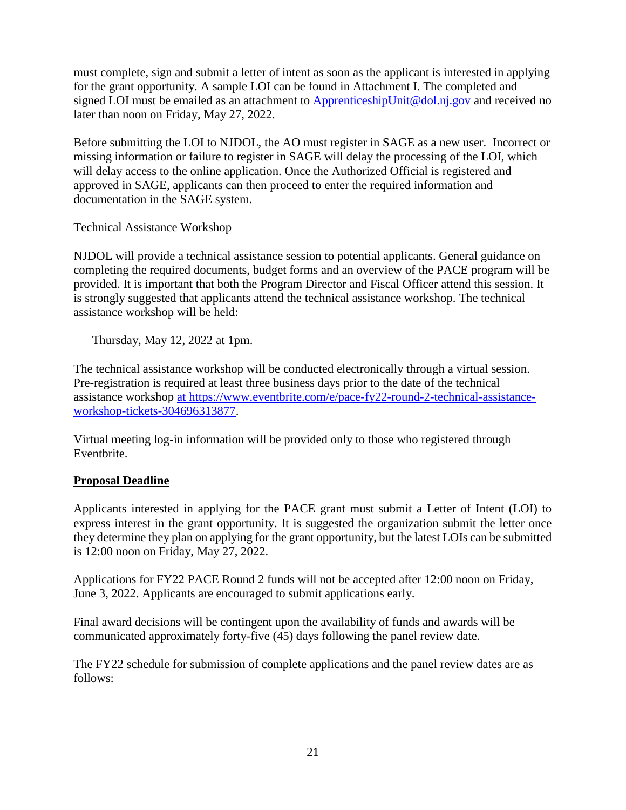must complete, sign and submit a letter of intent as soon as the applicant is interested in applying for the grant opportunity. A sample LOI can be found in Attachment I. The completed and signed LOI must be emailed as an attachment to [ApprenticeshipUnit@dol.nj.gov](mailto:ApprenticeshipUnit@dol.nj.gov) and received no later than noon on Friday, May 27, 2022.

Before submitting the LOI to NJDOL, the AO must register in SAGE as a new user. Incorrect or missing information or failure to register in SAGE will delay the processing of the LOI, which will delay access to the online application. Once the Authorized Official is registered and approved in SAGE, applicants can then proceed to enter the required information and documentation in the SAGE system.

#### Technical Assistance Workshop

NJDOL will provide a technical assistance session to potential applicants. General guidance on completing the required documents, budget forms and an overview of the PACE program will be provided. It is important that both the Program Director and Fiscal Officer attend this session. It is strongly suggested that applicants attend the technical assistance workshop. The technical assistance workshop will be held:

Thursday, May 12, 2022 at 1pm.

The technical assistance workshop will be conducted electronically through a virtual session. Pre-registration is required at least three business days prior to the date of the technical assistance workshop [at](https://www.eventbrite.com/e/pace-fy22-technical-assistance-workshop-tickets-183656370147) https://www.eventbrite.com/e/pace-fy22-round-2-technical-assistanceworkshop-tickets-304696313877.

Virtual meeting log-in information will be provided only to those who registered through Eventbrite.

# **Proposal Deadline**

Applicants interested in applying for the PACE grant must submit a Letter of Intent (LOI) to express interest in the grant opportunity. It is suggested the organization submit the letter once they determine they plan on applying for the grant opportunity, but the latest LOIs can be submitted is 12:00 noon on Friday, May 27, 2022.

Applications for FY22 PACE Round 2 funds will not be accepted after 12:00 noon on Friday, June 3, 2022. Applicants are encouraged to submit applications early.

Final award decisions will be contingent upon the availability of funds and awards will be communicated approximately forty-five (45) days following the panel review date.

The FY22 schedule for submission of complete applications and the panel review dates are as follows: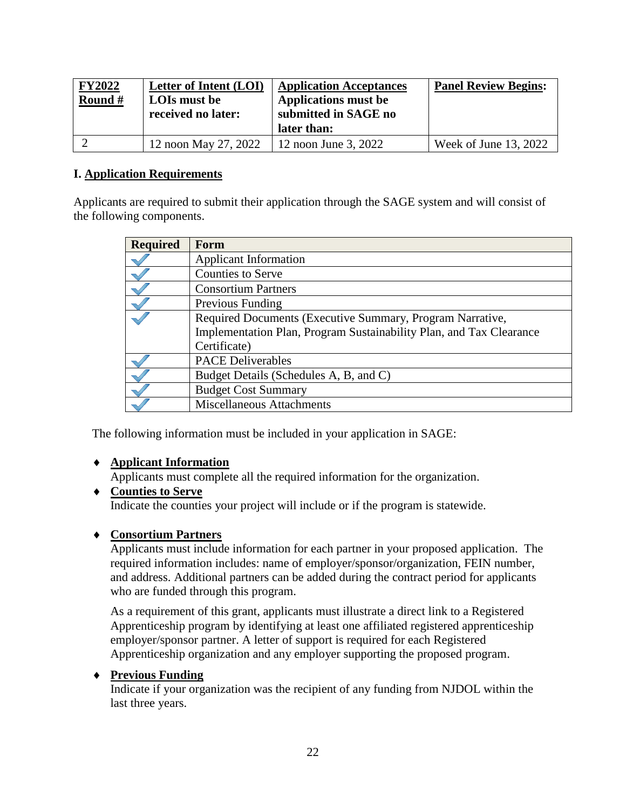| <b>FY2022</b><br>Round # | Letter of Intent (LOI)<br>LOIs must be | <b>Application Acceptances</b><br><b>Applications must be</b> | <b>Panel Review Begins:</b> |  |
|--------------------------|----------------------------------------|---------------------------------------------------------------|-----------------------------|--|
|                          | received no later:                     | submitted in SAGE no<br>later than:                           |                             |  |
|                          | 12 noon May 27, 2022                   | 12 noon June 3, 2022                                          | Week of June 13, 2022       |  |

#### **I. Application Requirements**

Applicants are required to submit their application through the SAGE system and will consist of the following components.

| <b>Required</b> | Form                                                                |
|-----------------|---------------------------------------------------------------------|
|                 | <b>Applicant Information</b>                                        |
|                 | <b>Counties to Serve</b>                                            |
|                 | <b>Consortium Partners</b>                                          |
|                 | Previous Funding                                                    |
|                 | Required Documents (Executive Summary, Program Narrative,           |
|                 | Implementation Plan, Program Sustainability Plan, and Tax Clearance |
|                 | Certificate)                                                        |
|                 | <b>PACE Deliverables</b>                                            |
|                 | Budget Details (Schedules A, B, and C)                              |
|                 | <b>Budget Cost Summary</b>                                          |
|                 | <b>Miscellaneous Attachments</b>                                    |

The following information must be included in your application in SAGE:

#### **Applicant Information**

Applicants must complete all the required information for the organization.

# **Counties to Serve** Indicate the counties your project will include or if the program is statewide.

# **Consortium Partners**

Applicants must include information for each partner in your proposed application. The required information includes: name of employer/sponsor/organization, FEIN number, and address. Additional partners can be added during the contract period for applicants who are funded through this program.

As a requirement of this grant, applicants must illustrate a direct link to a Registered Apprenticeship program by identifying at least one affiliated registered apprenticeship employer/sponsor partner. A letter of support is required for each Registered Apprenticeship organization and any employer supporting the proposed program.

# **Previous Funding**

Indicate if your organization was the recipient of any funding from NJDOL within the last three years.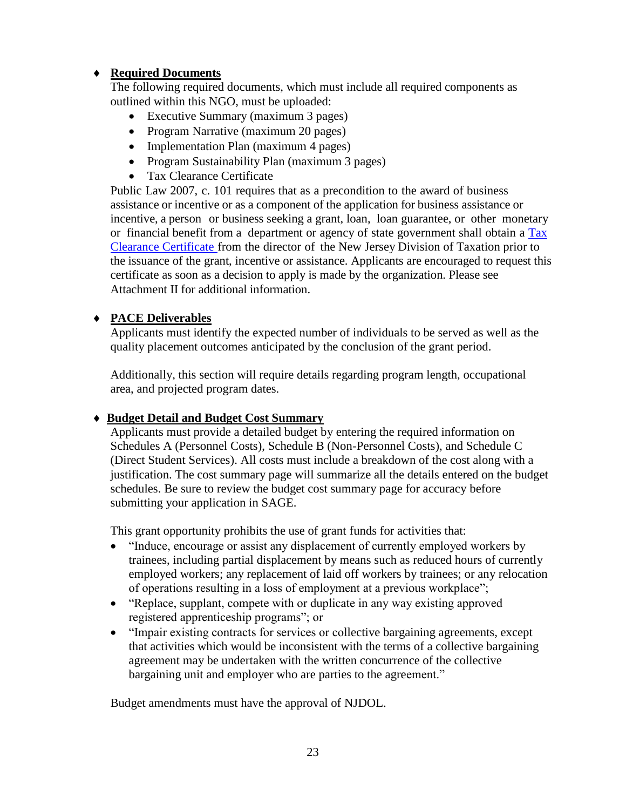# **Required Documents**

The following required documents, which must include all required components as outlined within this NGO, must be uploaded:

- Executive Summary (maximum 3 pages)
- Program Narrative (maximum 20 pages)
- Implementation Plan (maximum 4 pages)
- Program Sustainability Plan (maximum 3 pages)
- Tax Clearance Certificate

Public Law 2007, c. 101 requires that as a precondition to the award of business assistance or incentive or as a component of the application for business assistance or incentive, a person or business seeking a grant, loan, loan guarantee, or other monetary or financial benefit from a department or agency of state government shall obtain a [Tax](http://www.state.nj.us/treasury/taxation/busasst.shtml) Clearance [Certificate](http://www.state.nj.us/treasury/taxation/busasst.shtml) from the director of the New Jersey Division of Taxation prior to the issuance of the grant, incentive or assistance. Applicants are encouraged to request this certificate as soon as a decision to apply is made by the organization. Please see Attachment II for additional information.

# **PACE Deliverables**

Applicants must identify the expected number of individuals to be served as well as the quality placement outcomes anticipated by the conclusion of the grant period.

Additionally, this section will require details regarding program length, occupational area, and projected program dates.

# **Budget Detail and Budget Cost Summary**

Applicants must provide a detailed budget by entering the required information on Schedules A (Personnel Costs), Schedule B (Non-Personnel Costs), and Schedule C (Direct Student Services). All costs must include a breakdown of the cost along with a justification. The cost summary page will summarize all the details entered on the budget schedules. Be sure to review the budget cost summary page for accuracy before submitting your application in SAGE.

This grant opportunity prohibits the use of grant funds for activities that:

- "Induce, encourage or assist any displacement of currently employed workers by trainees, including partial displacement by means such as reduced hours of currently employed workers; any replacement of laid off workers by trainees; or any relocation of operations resulting in a loss of employment at a previous workplace";
- "Replace, supplant, compete with or duplicate in any way existing approved registered apprenticeship programs"; or
- "Impair existing contracts for services or collective bargaining agreements, except that activities which would be inconsistent with the terms of a collective bargaining agreement may be undertaken with the written concurrence of the collective bargaining unit and employer who are parties to the agreement."

Budget amendments must have the approval of NJDOL.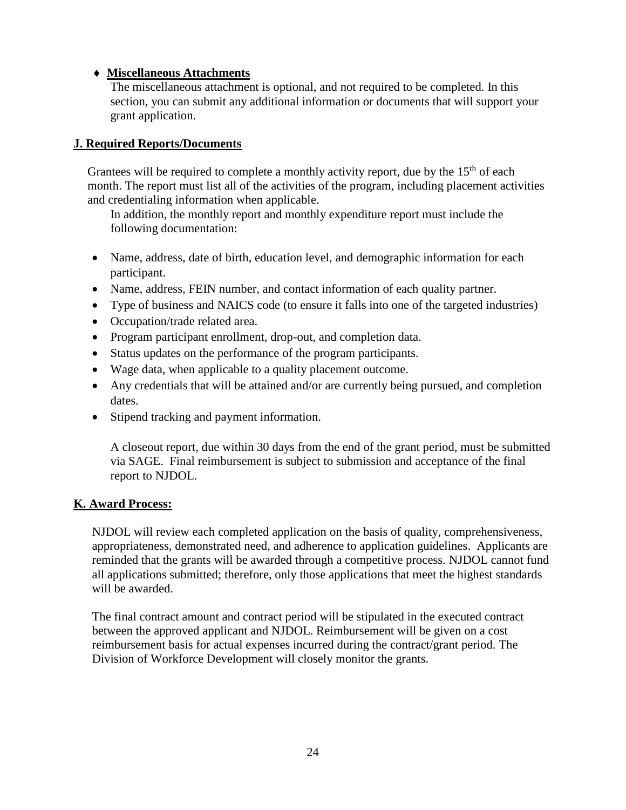# **Miscellaneous Attachments**

The miscellaneous attachment is optional, and not required to be completed. In this section, you can submit any additional information or documents that will support your grant application.

### **J. Required Reports/Documents**

Grantees will be required to complete a monthly activity report, due by the  $15<sup>th</sup>$  of each month. The report must list all of the activities of the program, including placement activities and credentialing information when applicable.

In addition, the monthly report and monthly expenditure report must include the following documentation:

- Name, address, date of birth, education level, and demographic information for each participant.
- Name, address, FEIN number, and contact information of each quality partner.
- Type of business and NAICS code (to ensure it falls into one of the targeted industries)
- Occupation/trade related area.
- Program participant enrollment, drop-out, and completion data.
- Status updates on the performance of the program participants.
- Wage data, when applicable to a quality placement outcome.
- Any credentials that will be attained and/or are currently being pursued, and completion dates.
- Stipend tracking and payment information.

A closeout report, due within 30 days from the end of the grant period, must be submitted via SAGE. Final reimbursement is subject to submission and acceptance of the final report to NJDOL.

# **K. Award Process:**

NJDOL will review each completed application on the basis of quality, comprehensiveness, appropriateness, demonstrated need, and adherence to application guidelines. Applicants are reminded that the grants will be awarded through a competitive process. NJDOL cannot fund all applications submitted; therefore, only those applications that meet the highest standards will be awarded.

The final contract amount and contract period will be stipulated in the executed contract between the approved applicant and NJDOL. Reimbursement will be given on a cost reimbursement basis for actual expenses incurred during the contract/grant period. The Division of Workforce Development will closely monitor the grants.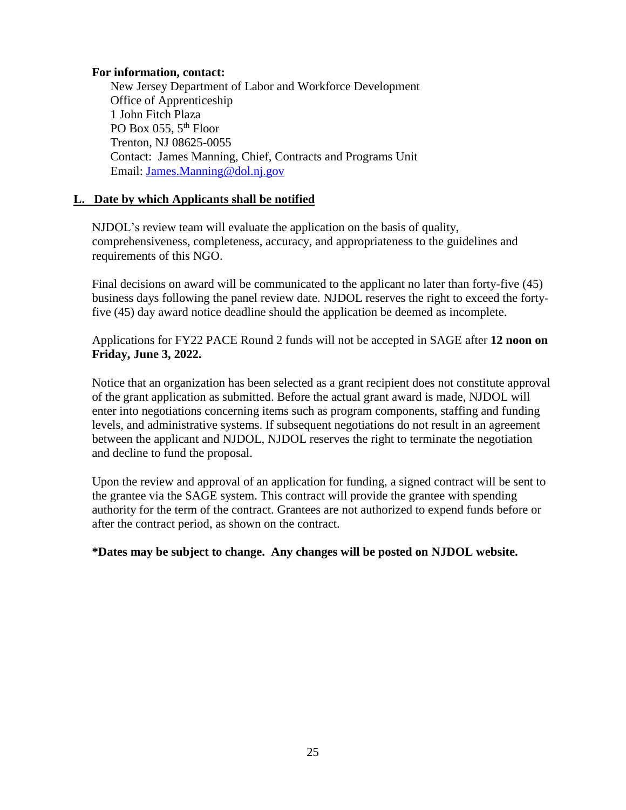#### **For information, contact:**

New Jersey Department of Labor and Workforce Development Office of Apprenticeship 1 John Fitch Plaza PO Box 055, 5<sup>th</sup> Floor Trenton, NJ 08625-0055 Contact: James Manning, Chief, Contracts and Programs Unit Email: [James.Manning@dol.nj.gov](mailto:James.Manning@dol.nj.gov)

# **L. Date by which Applicants shall be notified**

NJDOL's review team will evaluate the application on the basis of quality, comprehensiveness, completeness, accuracy, and appropriateness to the guidelines and requirements of this NGO.

Final decisions on award will be communicated to the applicant no later than forty-five (45) business days following the panel review date. NJDOL reserves the right to exceed the fortyfive (45) day award notice deadline should the application be deemed as incomplete.

Applications for FY22 PACE Round 2 funds will not be accepted in SAGE after **12 noon on Friday, June 3, 2022.** 

Notice that an organization has been selected as a grant recipient does not constitute approval of the grant application as submitted. Before the actual grant award is made, NJDOL will enter into negotiations concerning items such as program components, staffing and funding levels, and administrative systems. If subsequent negotiations do not result in an agreement between the applicant and NJDOL, NJDOL reserves the right to terminate the negotiation and decline to fund the proposal.

Upon the review and approval of an application for funding, a signed contract will be sent to the grantee via the SAGE system. This contract will provide the grantee with spending authority for the term of the contract. Grantees are not authorized to expend funds before or after the contract period, as shown on the contract.

**\*Dates may be subject to change. Any changes will be posted on NJDOL website.**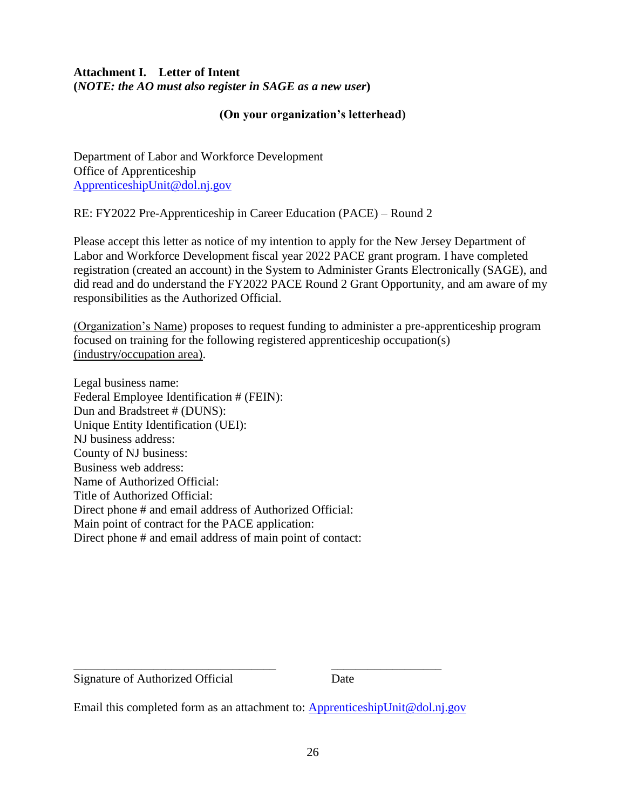# **Attachment I. Letter of Intent (***NOTE: the AO must also register in SAGE as a new user***)**

### **(On your organization's letterhead)**

Department of Labor and Workforce Development Office of Apprenticeship [ApprenticeshipUnit@dol.nj.gov](mailto:ApprenticeshipUnit@dol.nj.gov)

RE: FY2022 Pre-Apprenticeship in Career Education (PACE) – Round 2

Please accept this letter as notice of my intention to apply for the New Jersey Department of Labor and Workforce Development fiscal year 2022 PACE grant program. I have completed registration (created an account) in the System to Administer Grants Electronically (SAGE), and did read and do understand the FY2022 PACE Round 2 Grant Opportunity, and am aware of my responsibilities as the Authorized Official.

(Organization's Name) proposes to request funding to administer a pre-apprenticeship program focused on training for the following registered apprenticeship occupation(s) (industry/occupation area).

Legal business name: Federal Employee Identification # (FEIN): Dun and Bradstreet # (DUNS): Unique Entity Identification (UEI): NJ business address: County of NJ business: Business web address: Name of Authorized Official: Title of Authorized Official: Direct phone # and email address of Authorized Official: Main point of contract for the PACE application: Direct phone # and email address of main point of contact:

Signature of Authorized Official Date

Email this completed form as an attachment to: [ApprenticeshipUnit@dol.nj.gov](mailto:ApprenticeshipUnit@dol.nj.gov)

\_\_\_\_\_\_\_\_\_\_\_\_\_\_\_\_\_\_\_\_\_\_\_\_\_\_\_\_\_\_\_\_\_ \_\_\_\_\_\_\_\_\_\_\_\_\_\_\_\_\_\_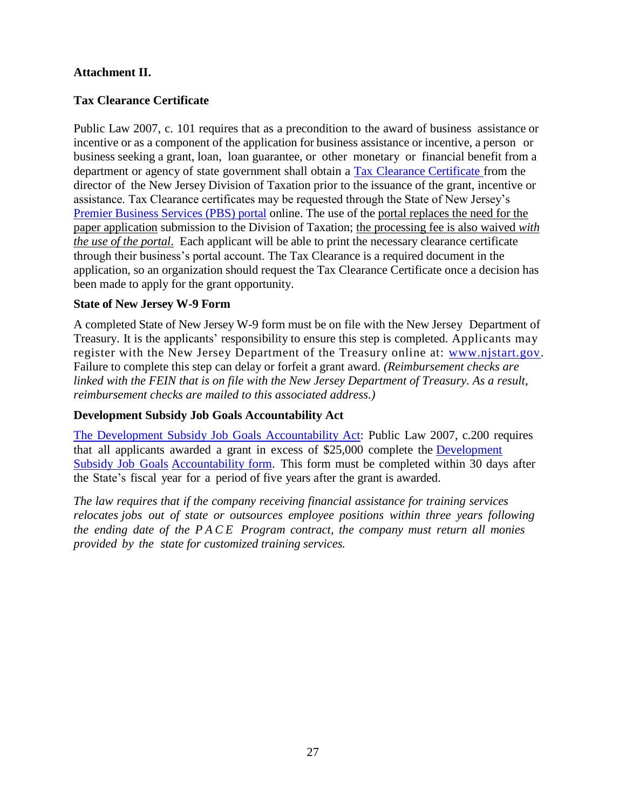### **Attachment II.**

### **Tax Clearance Certificate**

Public Law 2007, c. 101 requires that as a precondition to the award of business assistance or incentive or as a component of the application for business assistance or incentive, a person or business seeking a grant, loan, loan guarantee, or other monetary or financial benefit from a department or agency of state government shall obtain a Tax Clearance [Certificate](http://www.state.nj.us/treasury/taxation/busasst.shtml) from the director of the New Jersey Division of Taxation prior to the issuance of the grant, incentive or assistance. Tax Clearance certificates may be requested through the State of New Jersey's [Premier Business Services \(PBS\) portal](https://www16.state.nj.us/NJ_PREMIER_EBIZ/jsp/home.jsp) online. The use of the portal replaces the need for the paper application submission to the Division of Taxation; the processing fee is also waived *with the use of the portal*. Each applicant will be able to print the necessary clearance certificate through their business's portal account. The Tax Clearance is a required document in the application, so an organization should request the Tax Clearance Certificate once a decision has been made to apply for the grant opportunity.

#### **State of New Jersey W-9 Form**

A completed State of New Jersey W-9 form must be on file with the New Jersey Department of Treasury. It is the applicants' responsibility to ensure this step is completed. Applicants may register with the New Jersey Department of the Treasury online at: [www.njstart.gov.](http://www.njstart.gov/) Failure to complete this step can delay or forfeit a grant award. *(Reimbursement checks are linked with the FEIN that is on file with the New Jersey Department of Treasury. As a result, reimbursement checks are mailed to this associated address.)*

#### **Development Subsidy Job Goals Accountability Act**

The Development Subsidy Job Goals [Accountability](http://www.njleg.state.nj.us/2006/Bills/PL07/200_.HTM) Act: Public Law 2007, c.200 requires that all applicants awarded a grant in excess of \$25,000 complete the [Development](http://nj.gov/labor/forms_pdfs/Programs/NGO/Workforce_Training/turnerform2.pdf) [Subsidy](http://nj.gov/labor/forms_pdfs/Programs/NGO/Workforce_Training/turnerform2.pdf) Job Goals [Accountability](http://lwd.dol.state.nj.us/labor/forms_pdfs/employer/training/turnerform2.pdf) form. This form must be completed within 30 days after the State's fiscal year for a period of five years after the grant is awarded.

*The law requires that if the company receiving financial assistance for training services relocates jobs out of state or outsources employee positions within three years following the ending date of the P A C E Program contract, the company must return all monies provided by the state for customized training services.*